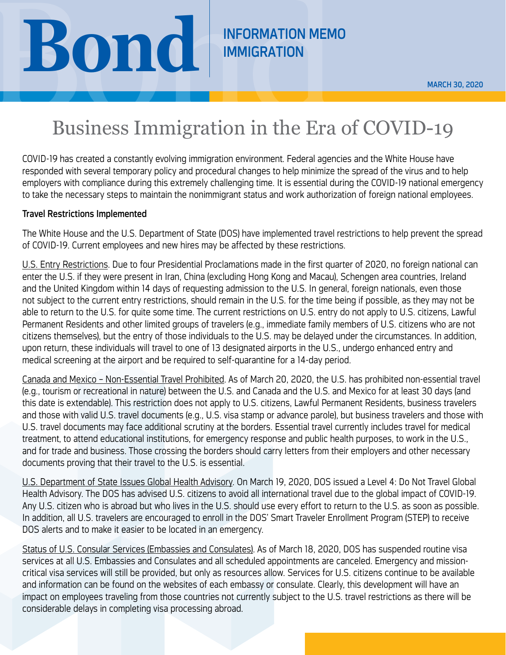# **BOND** INFORMATION MEMO

**IMMIGRATION** 

## Business Immigration in the Era of COVID-19

COVID-19 has created a constantly evolving immigration environment. Federal agencies and the White House have responded with several temporary policy and procedural changes to help minimize the spread of the virus and to help employers with compliance during this extremely challenging time. It is essential during the COVID-19 national emergency to take the necessary steps to maintain the nonimmigrant status and work authorization of foreign national employees.

#### Travel Restrictions Implemented

The White House and the U.S. Department of State (DOS) have implemented travel restrictions to help prevent the spread of COVID-19. Current employees and new hires may be affected by these restrictions.

U.S. Entry Restrictions. Due to four Presidential Proclamations made in the first quarter of 2020, no foreign national can enter the U.S. if they were present in Iran, China (excluding Hong Kong and Macau), Schengen area countries, Ireland and the United Kingdom within 14 days of requesting admission to the U.S. In general, foreign nationals, even those not subject to the current entry restrictions, should remain in the U.S. for the time being if possible, as they may not be able to return to the U.S. for quite some time. The current restrictions on U.S. entry do not apply to U.S. citizens, Lawful Permanent Residents and other limited groups of travelers (e.g., immediate family members of U.S. citizens who are not citizens themselves), but the entry of those individuals to the U.S. may be delayed under the circumstances. In addition, upon return, these individuals will travel to one of 13 designated airports in the U.S., undergo enhanced entry and medical screening at the airport and be required to self-quarantine for a 14-day period.

Canada and Mexico – Non-Essential Travel Prohibited. As of March 20, 2020, the U.S. has prohibited non-essential travel (e.g., tourism or recreational in nature) between the U.S. and Canada and the U.S. and Mexico for at least 30 days (and this date is extendable). This restriction does not apply to U.S. citizens, Lawful Permanent Residents, business travelers and those with valid U.S. travel documents (e.g., U.S. visa stamp or advance parole), but business travelers and those with U.S. travel documents may face additional scrutiny at the borders. Essential travel currently includes travel for medical treatment, to attend educational institutions, for emergency response and public health purposes, to work in the U.S., and for trade and business. Those crossing the borders should carry letters from their employers and other necessary documents proving that their travel to the U.S. is essential.

U.S. Department of State Issues Global Health Advisory. On March 19, 2020, DOS issued a Level 4: Do Not Travel Global Health Advisory. The DOS has advised U.S. citizens to avoid all international travel due to the global impact of COVID-19. Any U.S. citizen who is abroad but who lives in the U.S. should use every effort to return to the U.S. as soon as possible. In addition, all U.S. travelers are encouraged to enroll in the DOS' Smart Traveler Enrollment Program (STEP) to receive DOS alerts and to make it easier to be located in an emergency.

Status of U.S. Consular Services (Embassies and Consulates). As of March 18, 2020, DOS has suspended routine visa services at all U.S. Embassies and Consulates and all scheduled appointments are canceled. Emergency and missioncritical visa services will still be provided, but only as resources allow. Services for U.S. citizens continue to be available and information can be found on the websites of each embassy or consulate. Clearly, this development will have an impact on employees traveling from those countries not currently subject to the U.S. travel restrictions as there will be considerable delays in completing visa processing abroad.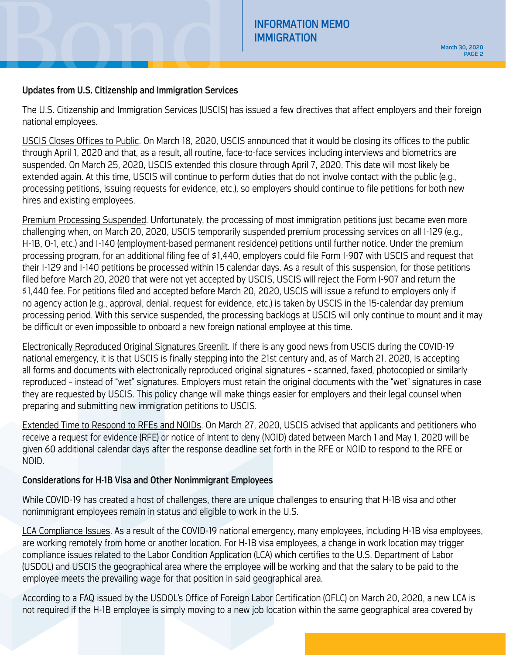#### Updates from U.S. Citizenship and Immigration Services

The U.S. Citizenship and Immigration Services (USCIS) has issued a few directives that affect employers and their foreign national employees.

USCIS Closes Offices to Public. On March 18, 2020, USCIS announced that it would be closing its offices to the public through April 1, 2020 and that, as a result, all routine, face-to-face services including interviews and biometrics are suspended. On March 25, 2020, USCIS extended this closure through April 7, 2020. This date will most likely be extended again. At this time, USCIS will continue to perform duties that do not involve contact with the public (e.g., processing petitions, issuing requests for evidence, etc.), so employers should continue to file petitions for both new hires and existing employees.

Premium Processing Suspended. Unfortunately, the processing of most immigration petitions just became even more challenging when, on March 20, 2020, USCIS temporarily suspended premium processing services on all I-129 (e.g., H-1B, O-1, etc.) and I-140 (employment-based permanent residence) petitions until further notice. Under the premium processing program, for an additional filing fee of \$1,440, employers could file Form I-907 with USCIS and request that their I-129 and I-140 petitions be processed within 15 calendar days. As a result of this suspension, for those petitions filed before March 20, 2020 that were not yet accepted by USCIS, USCIS will reject the Form I-907 and return the \$1,440 fee. For petitions filed and accepted before March 20, 2020, USCIS will issue a refund to employers only if no agency action (e.g., approval, denial, request for evidence, etc.) is taken by USCIS in the 15-calendar day premium processing period. With this service suspended, the processing backlogs at USCIS will only continue to mount and it may be difficult or even impossible to onboard a new foreign national employee at this time.

Electronically Reproduced Original Signatures Greenlit. If there is any good news from USCIS during the COVID-19 national emergency, it is that USCIS is finally stepping into the 21st century and, as of March 21, 2020, is accepting all forms and documents with electronically reproduced original signatures – scanned, faxed, photocopied or similarly reproduced – instead of "wet" signatures. Employers must retain the original documents with the "wet" signatures in case they are requested by USCIS. This policy change will make things easier for employers and their legal counsel when preparing and submitting new immigration petitions to USCIS.

Extended Time to Respond to RFEs and NOIDs. On March 27, 2020, USCIS advised that applicants and petitioners who receive a request for evidence (RFE) or notice of intent to deny (NOID) dated between March 1 and May 1, 2020 will be given 60 additional calendar days after the response deadline set forth in the RFE or NOID to respond to the RFE or NOID.

### Considerations for H-1B Visa and Other Nonimmigrant Employees

While COVID-19 has created a host of challenges, there are unique challenges to ensuring that H-1B visa and other nonimmigrant employees remain in status and eligible to work in the U.S.

LCA Compliance Issues. As a result of the COVID-19 national emergency, many employees, including H-1B visa employees, are working remotely from home or another location. For H-1B visa employees, a change in work location may trigger compliance issues related to the Labor Condition Application (LCA) which certifies to the U.S. Department of Labor (USDOL) and USCIS the geographical area where the employee will be working and that the salary to be paid to the employee meets the prevailing wage for that position in said geographical area.

According to a FAQ issued by the USDOL's Office of Foreign Labor Certification (OFLC) on March 20, 2020, a new LCA is not required if the H-1B employee is simply moving to a new job location within the same geographical area covered by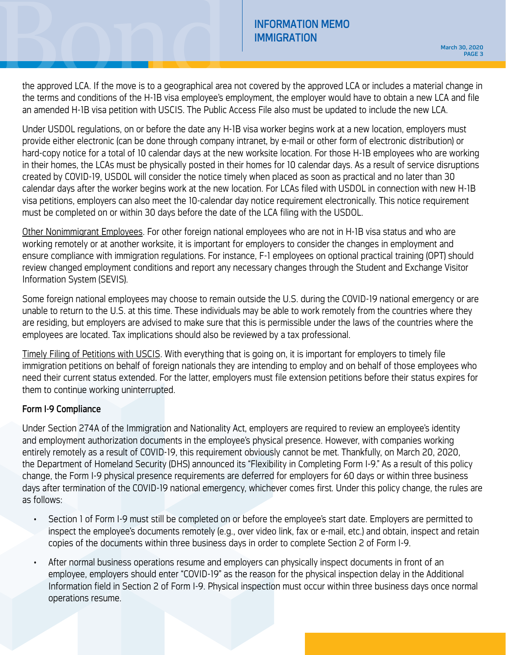INFORMATION MEMO<br>IMMIGRATION MEMO<br>the approved LCA. If the move is to a geographical area not covered by the approved LCA or includes a material change in<br>the terms and conditions of the H-1B visa employee's employment th the approved LCA. If the move is to a geographical area not covered by the approved LCA or includes a material change in the terms and conditions of the H-1B visa employee's employment, the employer would have to obtain a new LCA and file an amended H-1B visa petition with USCIS. The Public Access File also must be updated to include the new LCA.

Under USDOL regulations, on or before the date any H-1B visa worker begins work at a new location, employers must provide either electronic (can be done through company intranet, by e-mail or other form of electronic distribution) or hard-copy notice for a total of 10 calendar days at the new worksite location. For those H-1B employees who are working in their homes, the LCAs must be physically posted in their homes for 10 calendar days. As a result of service disruptions created by COVID-19, USDOL will consider the notice timely when placed as soon as practical and no later than 30 calendar days after the worker begins work at the new location. For LCAs filed with USDOL in connection with new H-1B visa petitions, employers can also meet the 10-calendar day notice requirement electronically. This notice requirement must be completed on or within 30 days before the date of the LCA filing with the USDOL.

Other Nonimmigrant Employees. For other foreign national employees who are not in H-1B visa status and who are working remotely or at another worksite, it is important for employers to consider the changes in employment and ensure compliance with immigration regulations. For instance, F-1 employees on optional practical training (OPT) should review changed employment conditions and report any necessary changes through the Student and Exchange Visitor Information System (SEVIS).

Some foreign national employees may choose to remain outside the U.S. during the COVID-19 national emergency or are unable to return to the U.S. at this time. These individuals may be able to work remotely from the countries where they are residing, but employers are advised to make sure that this is permissible under the laws of the countries where the employees are located. Tax implications should also be reviewed by a tax professional.

Timely Filing of Petitions with USCIS. With everything that is going on, it is important for employers to timely file immigration petitions on behalf of foreign nationals they are intending to employ and on behalf of those employees who need their current status extended. For the latter, employers must file extension petitions before their status expires for them to continue working uninterrupted.

#### Form I-9 Compliance

Under Section 274A of the Immigration and Nationality Act, employers are required to review an employee's identity and employment authorization documents in the employee's physical presence. However, with companies working entirely remotely as a result of COVID-19, this requirement obviously cannot be met. Thankfully, on March 20, 2020, the Department of Homeland Security (DHS) announced its "Flexibility in Completing Form I-9." As a result of this policy change, the Form I-9 physical presence requirements are deferred for employers for 60 days or within three business days after termination of the COVID-19 national emergency, whichever comes first. Under this policy change, the rules are as follows:

- Section 1 of Form I-9 must still be completed on or before the employee's start date. Employers are permitted to inspect the employee's documents remotely (e.g., over video link, fax or e-mail, etc.) and obtain, inspect and retain copies of the documents within three business days in order to complete Section 2 of Form I-9.
- After normal business operations resume and employers can physically inspect documents in front of an employee, employers should enter "COVID-19" as the reason for the physical inspection delay in the Additional Information field in Section 2 of Form I-9. Physical inspection must occur within three business days once normal operations resume.